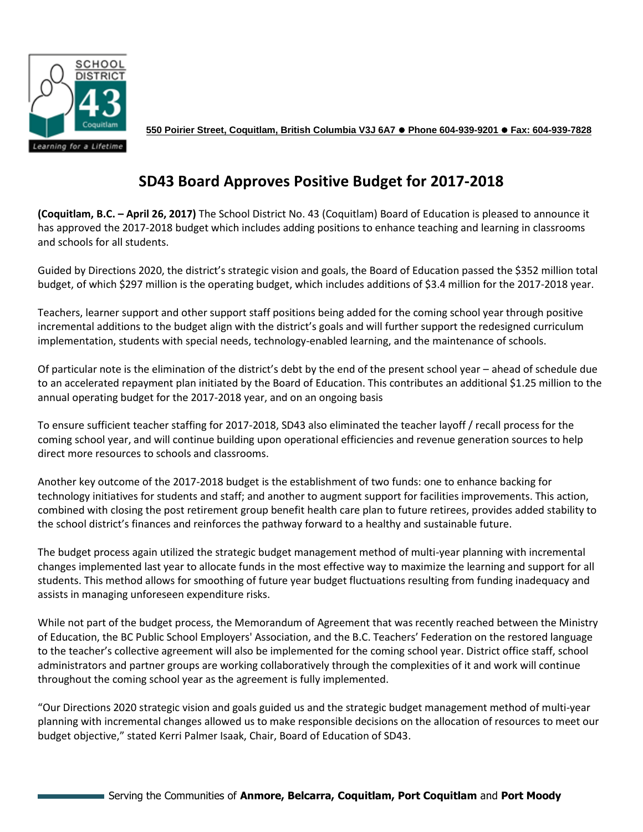

**550 Poirier Street, Coquitlam, British Columbia V3J 6A7 Phone 604-939-9201 Fax: 604-939-7828**

## **SD43 Board Approves Positive Budget for 2017-2018**

**(Coquitlam, B.C. – April 26, 2017)** The School District No. 43 (Coquitlam) Board of Education is pleased to announce it has approved the 2017-2018 budget which includes adding positions to enhance teaching and learning in classrooms and schools for all students.

Guided by Directions 2020, the district's strategic vision and goals, the Board of Education passed the \$352 million total budget, of which \$297 million is the operating budget, which includes additions of \$3.4 million for the 2017-2018 year.

Teachers, learner support and other support staff positions being added for the coming school year through positive incremental additions to the budget align with the district's goals and will further support the redesigned curriculum implementation, students with special needs, technology-enabled learning, and the maintenance of schools.

Of particular note is the elimination of the district's debt by the end of the present school year – ahead of schedule due to an accelerated repayment plan initiated by the Board of Education. This contributes an additional \$1.25 million to the annual operating budget for the 2017-2018 year, and on an ongoing basis

To ensure sufficient teacher staffing for 2017-2018, SD43 also eliminated the teacher layoff / recall process for the coming school year, and will continue building upon operational efficiencies and revenue generation sources to help direct more resources to schools and classrooms.

Another key outcome of the 2017-2018 budget is the establishment of two funds: one to enhance backing for technology initiatives for students and staff; and another to augment support for facilities improvements. This action, combined with closing the post retirement group benefit health care plan to future retirees, provides added stability to the school district's finances and reinforces the pathway forward to a healthy and sustainable future.

The budget process again utilized the strategic budget management method of multi-year planning with incremental changes implemented last year to allocate funds in the most effective way to maximize the learning and support for all students. This method allows for smoothing of future year budget fluctuations resulting from funding inadequacy and assists in managing unforeseen expenditure risks.

While not part of the budget process, the Memorandum of Agreement that was recently reached between the Ministry of Education, the BC Public School Employers' Association, and the B.C. Teachers' Federation on the restored language to the teacher's collective agreement will also be implemented for the coming school year. District office staff, school administrators and partner groups are working collaboratively through the complexities of it and work will continue throughout the coming school year as the agreement is fully implemented.

"Our Directions 2020 strategic vision and goals guided us and the strategic budget management method of multi-year planning with incremental changes allowed us to make responsible decisions on the allocation of resources to meet our budget objective," stated Kerri Palmer Isaak, Chair, Board of Education of SD43.